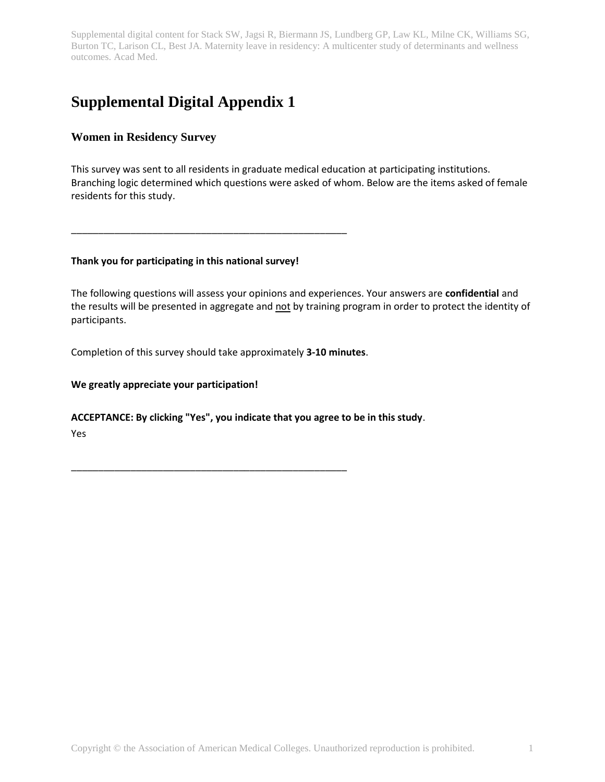# **Supplemental Digital Appendix 1**

# **Women in Residency Survey**

This survey was sent to all residents in graduate medical education at participating institutions. Branching logic determined which questions were asked of whom. Below are the items asked of female residents for this study.

#### **Thank you for participating in this national survey!**

\_\_\_\_\_\_\_\_\_\_\_\_\_\_\_\_\_\_\_\_\_\_\_\_\_\_\_\_\_\_\_\_\_\_\_\_\_\_\_\_\_\_\_\_\_\_\_\_\_\_\_

The following questions will assess your opinions and experiences. Your answers are **confidential** and the results will be presented in aggregate and not by training program in order to protect the identity of participants.

Completion of this survey should take approximately **3-10 minutes**.

\_\_\_\_\_\_\_\_\_\_\_\_\_\_\_\_\_\_\_\_\_\_\_\_\_\_\_\_\_\_\_\_\_\_\_\_\_\_\_\_\_\_\_\_\_\_\_\_\_\_\_

#### **We greatly appreciate your participation!**

#### **ACCEPTANCE: By clicking "Yes", you indicate that you agree to be in this study**.

Yes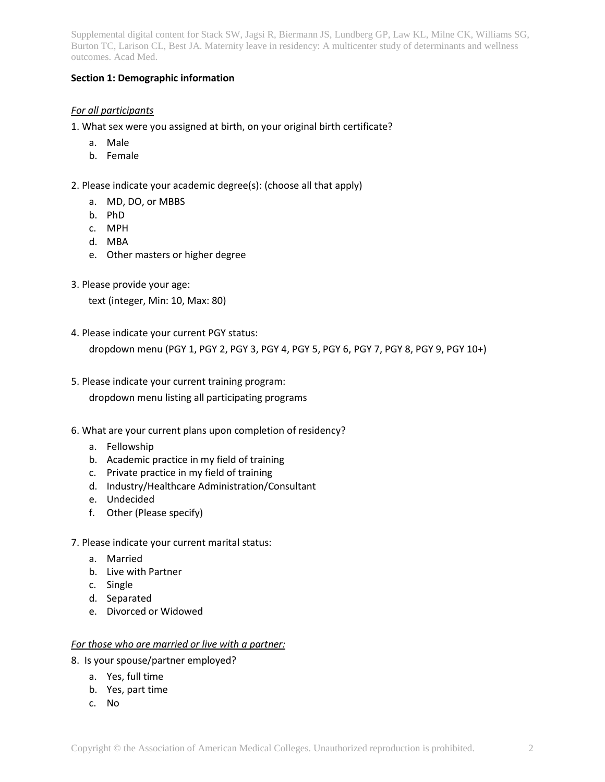#### **Section 1: Demographic information**

# *For all participants*

- 1. What sex were you assigned at birth, on your original birth certificate?
	- a. Male
	- b. Female
- 2. Please indicate your academic degree(s): (choose all that apply)
	- a. MD, DO, or MBBS
	- b. PhD
	- c. MPH
	- d. MBA
	- e. Other masters or higher degree
- 3. Please provide your age:

text (integer, Min: 10, Max: 80)

4. Please indicate your current PGY status:

dropdown menu (PGY 1, PGY 2, PGY 3, PGY 4, PGY 5, PGY 6, PGY 7, PGY 8, PGY 9, PGY 10+)

- 5. Please indicate your current training program: dropdown menu listing all participating programs
- 6. What are your current plans upon completion of residency?
	- a. Fellowship
	- b. Academic practice in my field of training
	- c. Private practice in my field of training
	- d. Industry/Healthcare Administration/Consultant
	- e. Undecided
	- f. Other (Please specify)
- 7. Please indicate your current marital status:
	- a. Married
	- b. Live with Partner
	- c. Single
	- d. Separated
	- e. Divorced or Widowed

#### *For those who are married or live with a partner:*

- 8. Is your spouse/partner employed?
	- a. Yes, full time
	- b. Yes, part time
	- c. No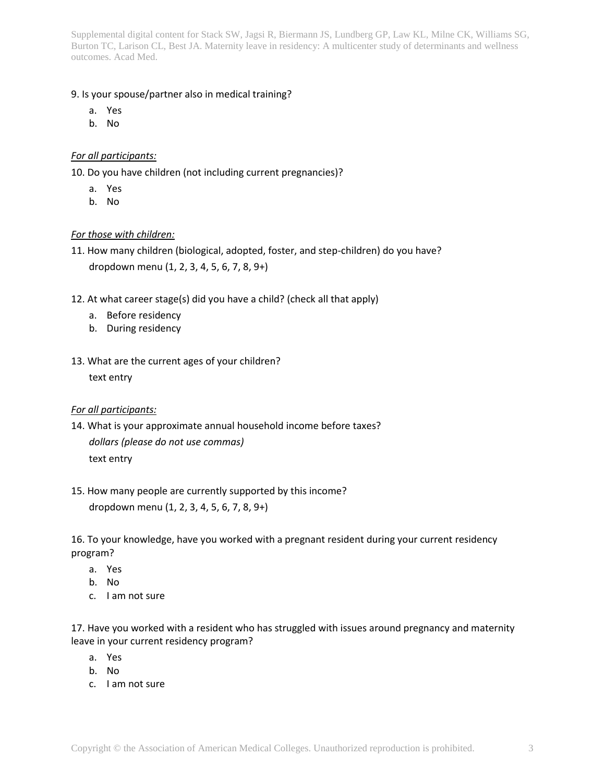#### 9. Is your spouse/partner also in medical training?

- a. Yes
- b. No

# *For all participants:*

10. Do you have children (not including current pregnancies)?

- a. Yes
- b. No

# *For those with children:*

- 11. How many children (biological, adopted, foster, and step-children) do you have? dropdown menu (1, 2, 3, 4, 5, 6, 7, 8, 9+)
- 12. At what career stage(s) did you have a child? (check all that apply)
	- a. Before residency
	- b. During residency
- 13. What are the current ages of your children? text entry

#### *For all participants:*

- 14. What is your approximate annual household income before taxes? *dollars (please do not use commas)* text entry
- 15. How many people are currently supported by this income? dropdown menu (1, 2, 3, 4, 5, 6, 7, 8, 9+)

16. To your knowledge, have you worked with a pregnant resident during your current residency program?

- a. Yes
- b. No
- c. I am not sure

17. Have you worked with a resident who has struggled with issues around pregnancy and maternity leave in your current residency program?

- a. Yes
- b. No
- c. I am not sure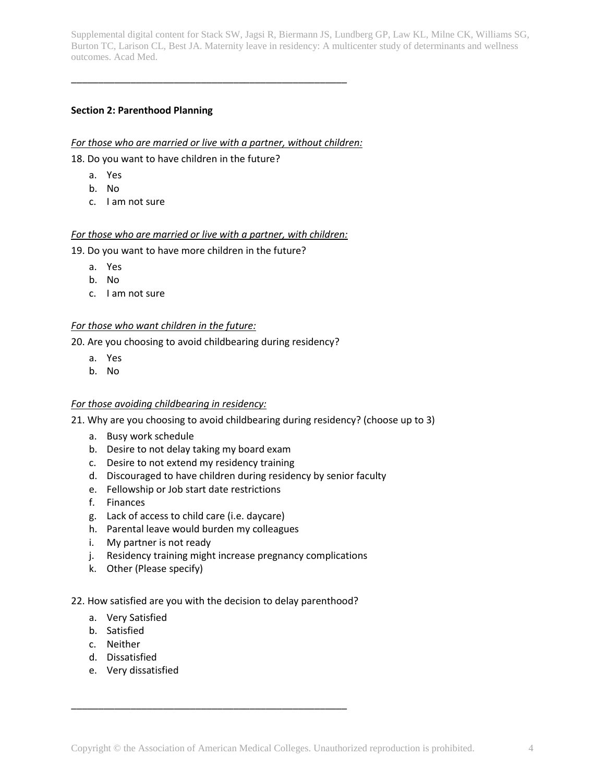# **Section 2: Parenthood Planning**

#### *For those who are married or live with a partner, without children:*

\_\_\_\_\_\_\_\_\_\_\_\_\_\_\_\_\_\_\_\_\_\_\_\_\_\_\_\_\_\_\_\_\_\_\_\_\_\_\_\_\_\_\_\_\_\_\_\_\_\_\_

18. Do you want to have children in the future?

- a. Yes
- b. No
- c. I am not sure

# *For those who are married or live with a partner, with children:*

19. Do you want to have more children in the future?

- a. Yes
- b. No
- c. I am not sure

#### *For those who want children in the future:*

20. Are you choosing to avoid childbearing during residency?

- a. Yes
- b. No

#### *For those avoiding childbearing in residency:*

21. Why are you choosing to avoid childbearing during residency? (choose up to 3)

- a. Busy work schedule
- b. Desire to not delay taking my board exam
- c. Desire to not extend my residency training
- d. Discouraged to have children during residency by senior faculty
- e. Fellowship or Job start date restrictions
- f. Finances
- g. Lack of access to child care (i.e. daycare)
- h. Parental leave would burden my colleagues
- i. My partner is not ready
- j. Residency training might increase pregnancy complications
- k. Other (Please specify)

#### 22. How satisfied are you with the decision to delay parenthood?

\_\_\_\_\_\_\_\_\_\_\_\_\_\_\_\_\_\_\_\_\_\_\_\_\_\_\_\_\_\_\_\_\_\_\_\_\_\_\_\_\_\_\_\_\_\_\_\_\_\_\_

- a. Very Satisfied
- b. Satisfied
- c. Neither
- d. Dissatisfied
- e. Very dissatisfied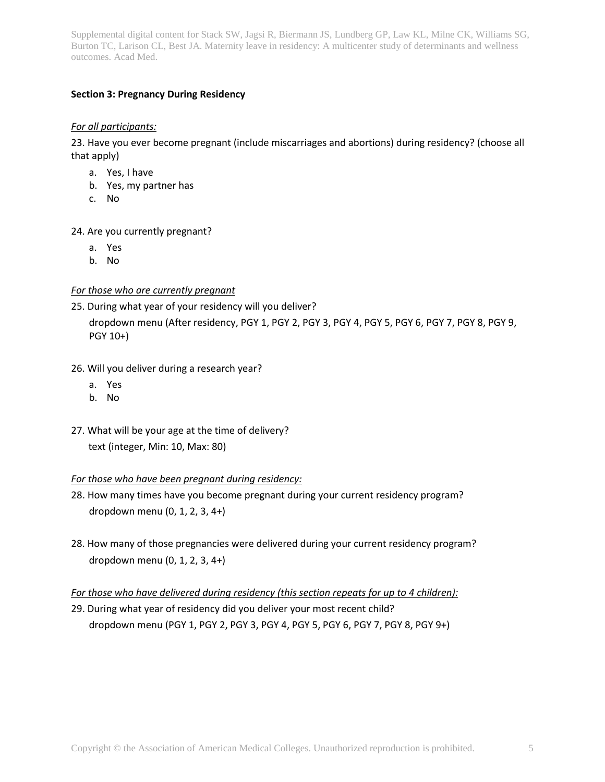# **Section 3: Pregnancy During Residency**

#### *For all participants:*

23. Have you ever become pregnant (include miscarriages and abortions) during residency? (choose all that apply)

- a. Yes, I have
- b. Yes, my partner has
- c. No

24. Are you currently pregnant?

- a. Yes
- b. No

#### *For those who are currently pregnant*

- 25. During what year of your residency will you deliver? dropdown menu (After residency, PGY 1, PGY 2, PGY 3, PGY 4, PGY 5, PGY 6, PGY 7, PGY 8, PGY 9, PGY 10+)
- 26. Will you deliver during a research year?
	- a. Yes
	- b. No
- 27. What will be your age at the time of delivery? text (integer, Min: 10, Max: 80)

#### *For those who have been pregnant during residency:*

- 28. How many times have you become pregnant during your current residency program? dropdown menu (0, 1, 2, 3, 4+)
- 28. How many of those pregnancies were delivered during your current residency program? dropdown menu (0, 1, 2, 3, 4+)

*For those who have delivered during residency (this section repeats for up to 4 children):*

29. During what year of residency did you deliver your most recent child? dropdown menu (PGY 1, PGY 2, PGY 3, PGY 4, PGY 5, PGY 6, PGY 7, PGY 8, PGY 9+)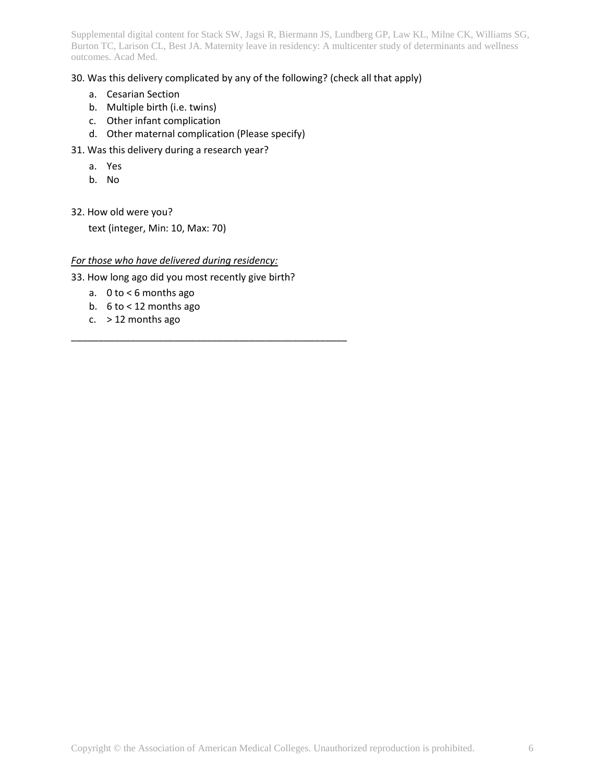# 30. Was this delivery complicated by any of the following? (check all that apply)

- a. Cesarian Section
- b. Multiple birth (i.e. twins)
- c. Other infant complication
- d. Other maternal complication (Please specify)
- 31. Was this delivery during a research year?
	- a. Yes
	- b. No
- 32. How old were you?

text (integer, Min: 10, Max: 70)

#### *For those who have delivered during residency:*

33. How long ago did you most recently give birth?

\_\_\_\_\_\_\_\_\_\_\_\_\_\_\_\_\_\_\_\_\_\_\_\_\_\_\_\_\_\_\_\_\_\_\_\_\_\_\_\_\_\_\_\_\_\_\_\_\_\_\_

- a. 0 to < 6 months ago
- b. 6 to < 12 months ago
- c.  $>$  12 months ago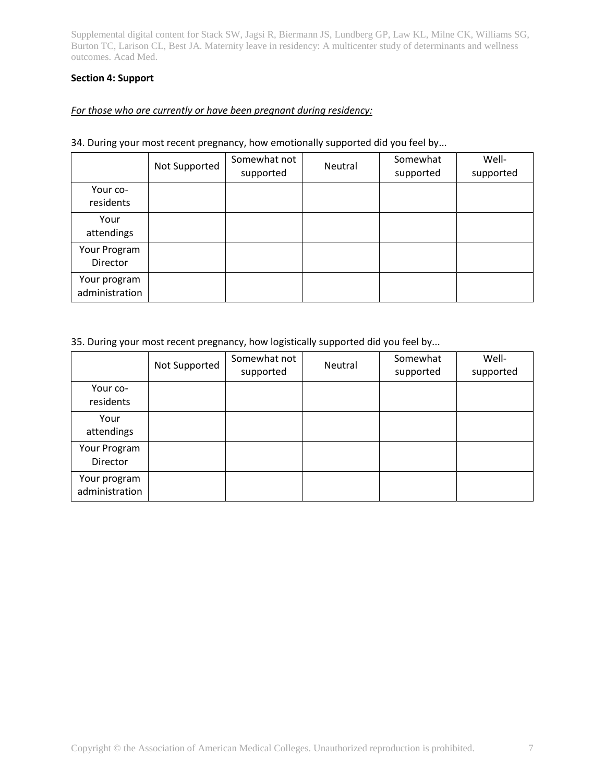#### **Section 4: Support**

# *For those who are currently or have been pregnant during residency:*

#### 34. During your most recent pregnancy, how emotionally supported did you feel by...

|                                | Not Supported | Somewhat not<br>supported | Neutral | Somewhat<br>supported | Well-<br>supported |
|--------------------------------|---------------|---------------------------|---------|-----------------------|--------------------|
| Your co-<br>residents          |               |                           |         |                       |                    |
| Your<br>attendings             |               |                           |         |                       |                    |
| Your Program<br>Director       |               |                           |         |                       |                    |
| Your program<br>administration |               |                           |         |                       |                    |

#### 35. During your most recent pregnancy, how logistically supported did you feel by...

|                                | Not Supported | Somewhat not<br>supported | Neutral | Somewhat<br>supported | Well-<br>supported |
|--------------------------------|---------------|---------------------------|---------|-----------------------|--------------------|
| Your co-<br>residents          |               |                           |         |                       |                    |
| Your<br>attendings             |               |                           |         |                       |                    |
| Your Program<br>Director       |               |                           |         |                       |                    |
| Your program<br>administration |               |                           |         |                       |                    |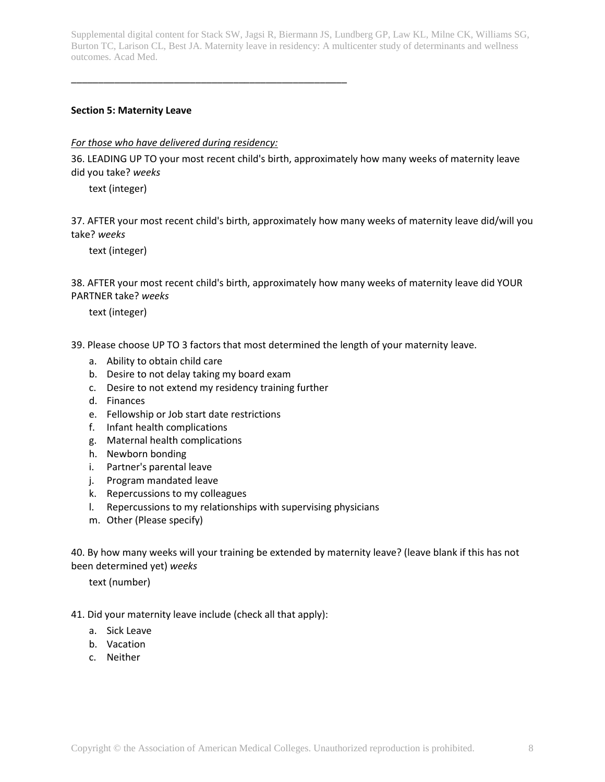#### **Section 5: Maternity Leave**

#### *For those who have delivered during residency:*

\_\_\_\_\_\_\_\_\_\_\_\_\_\_\_\_\_\_\_\_\_\_\_\_\_\_\_\_\_\_\_\_\_\_\_\_\_\_\_\_\_\_\_\_\_\_\_\_\_\_\_

36. LEADING UP TO your most recent child's birth, approximately how many weeks of maternity leave did you take? *weeks*

text (integer)

37. AFTER your most recent child's birth, approximately how many weeks of maternity leave did/will you take? *weeks*

text (integer)

38. AFTER your most recent child's birth, approximately how many weeks of maternity leave did YOUR PARTNER take? *weeks*

text (integer)

- 39. Please choose UP TO 3 factors that most determined the length of your maternity leave.
	- a. Ability to obtain child care
	- b. Desire to not delay taking my board exam
	- c. Desire to not extend my residency training further
	- d. Finances
	- e. Fellowship or Job start date restrictions
	- f. Infant health complications
	- g. Maternal health complications
	- h. Newborn bonding
	- i. Partner's parental leave
	- j. Program mandated leave
	- k. Repercussions to my colleagues
	- l. Repercussions to my relationships with supervising physicians
	- m. Other (Please specify)

40. By how many weeks will your training be extended by maternity leave? (leave blank if this has not been determined yet) *weeks*

text (number)

41. Did your maternity leave include (check all that apply):

- a. Sick Leave
- b. Vacation
- c. Neither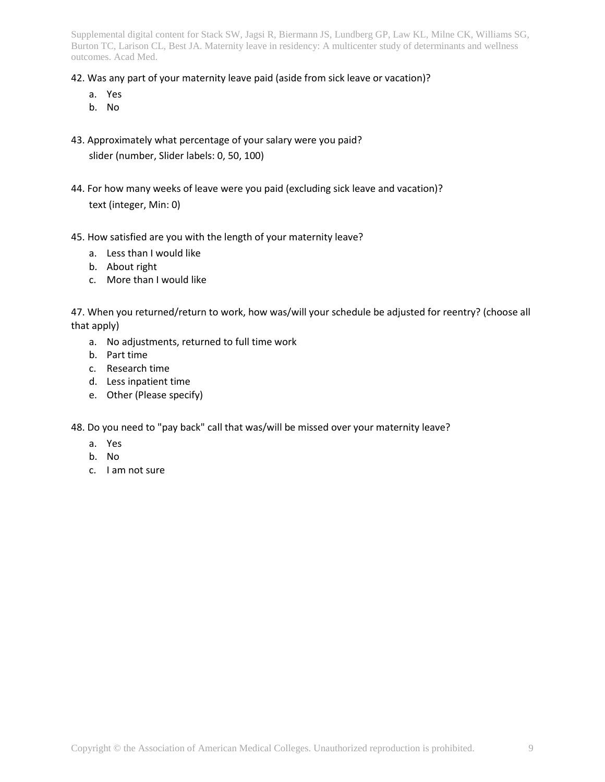#### 42. Was any part of your maternity leave paid (aside from sick leave or vacation)?

- a. Yes
- b. No
- 43. Approximately what percentage of your salary were you paid? slider (number, Slider labels: 0, 50, 100)
- 44. For how many weeks of leave were you paid (excluding sick leave and vacation)? text (integer, Min: 0)
- 45. How satisfied are you with the length of your maternity leave?
	- a. Less than I would like
	- b. About right
	- c. More than I would like

47. When you returned/return to work, how was/will your schedule be adjusted for reentry? (choose all that apply)

- a. No adjustments, returned to full time work
- b. Part time
- c. Research time
- d. Less inpatient time
- e. Other (Please specify)

48. Do you need to "pay back" call that was/will be missed over your maternity leave?

- a. Yes
- b. No
- c. I am not sure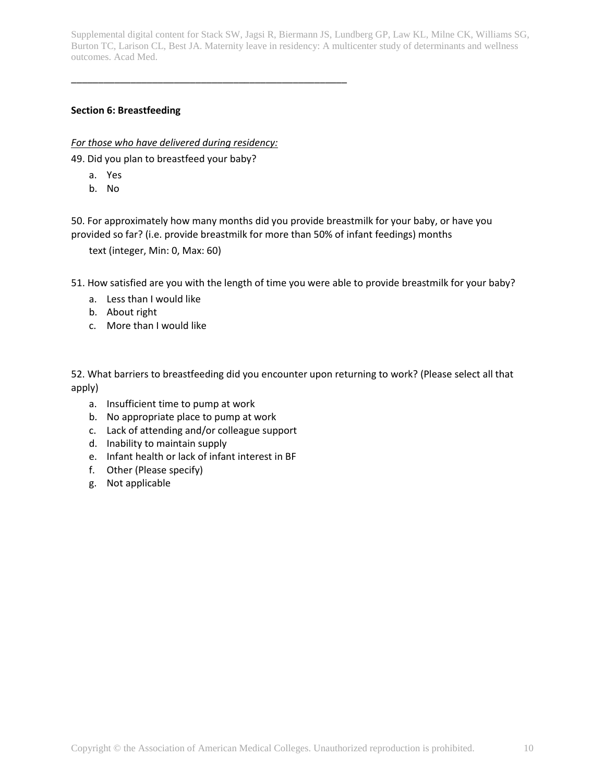# **Section 6: Breastfeeding**

*For those who have delivered during residency:*

\_\_\_\_\_\_\_\_\_\_\_\_\_\_\_\_\_\_\_\_\_\_\_\_\_\_\_\_\_\_\_\_\_\_\_\_\_\_\_\_\_\_\_\_\_\_\_\_\_\_\_

49. Did you plan to breastfeed your baby?

- a. Yes
- b. No

50. For approximately how many months did you provide breastmilk for your baby, or have you provided so far? (i.e. provide breastmilk for more than 50% of infant feedings) months

text (integer, Min: 0, Max: 60)

51. How satisfied are you with the length of time you were able to provide breastmilk for your baby?

- a. Less than I would like
- b. About right
- c. More than I would like

52. What barriers to breastfeeding did you encounter upon returning to work? (Please select all that apply)

- a. Insufficient time to pump at work
- b. No appropriate place to pump at work
- c. Lack of attending and/or colleague support
- d. Inability to maintain supply
- e. Infant health or lack of infant interest in BF
- f. Other (Please specify)
- g. Not applicable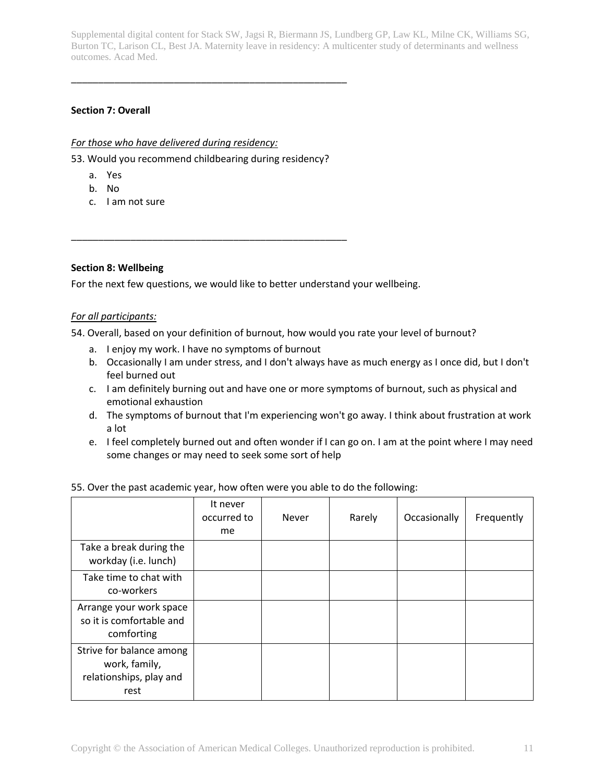# **Section 7: Overall**

#### *For those who have delivered during residency:*

53. Would you recommend childbearing during residency?

\_\_\_\_\_\_\_\_\_\_\_\_\_\_\_\_\_\_\_\_\_\_\_\_\_\_\_\_\_\_\_\_\_\_\_\_\_\_\_\_\_\_\_\_\_\_\_\_\_\_\_

\_\_\_\_\_\_\_\_\_\_\_\_\_\_\_\_\_\_\_\_\_\_\_\_\_\_\_\_\_\_\_\_\_\_\_\_\_\_\_\_\_\_\_\_\_\_\_\_\_\_\_

- a. Yes
- b. No
- c. I am not sure

#### **Section 8: Wellbeing**

For the next few questions, we would like to better understand your wellbeing.

#### *For all participants:*

54. Overall, based on your definition of burnout, how would you rate your level of burnout?

- a. I enjoy my work. I have no symptoms of burnout
- b. Occasionally I am under stress, and I don't always have as much energy as I once did, but I don't feel burned out
- c. I am definitely burning out and have one or more symptoms of burnout, such as physical and emotional exhaustion
- d. The symptoms of burnout that I'm experiencing won't go away. I think about frustration at work a lot
- e. I feel completely burned out and often wonder if I can go on. I am at the point where I may need some changes or may need to seek some sort of help

|                                                                              | It never<br>occurred to<br>me | Never | Rarely | Occasionally | Frequently |
|------------------------------------------------------------------------------|-------------------------------|-------|--------|--------------|------------|
| Take a break during the<br>workday (i.e. lunch)                              |                               |       |        |              |            |
| Take time to chat with<br>co-workers                                         |                               |       |        |              |            |
| Arrange your work space<br>so it is comfortable and<br>comforting            |                               |       |        |              |            |
| Strive for balance among<br>work, family,<br>relationships, play and<br>rest |                               |       |        |              |            |

#### 55. Over the past academic year, how often were you able to do the following: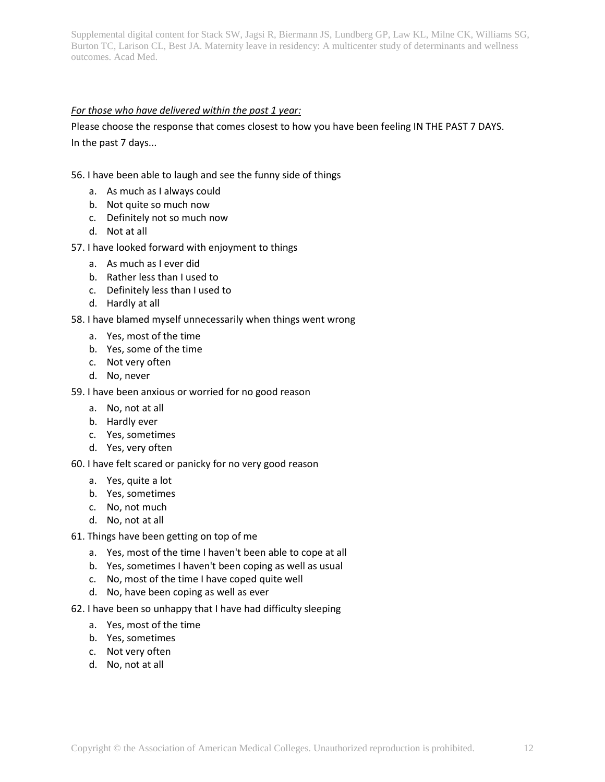#### *For those who have delivered within the past 1 year:*

Please choose the response that comes closest to how you have been feeling IN THE PAST 7 DAYS. In the past 7 days...

#### 56. I have been able to laugh and see the funny side of things

- a. As much as I always could
- b. Not quite so much now
- c. Definitely not so much now
- d. Not at all

#### 57. I have looked forward with enjoyment to things

- a. As much as I ever did
- b. Rather less than I used to
- c. Definitely less than I used to
- d. Hardly at all
- 58. I have blamed myself unnecessarily when things went wrong
	- a. Yes, most of the time
	- b. Yes, some of the time
	- c. Not very often
	- d. No, never
- 59. I have been anxious or worried for no good reason
	- a. No, not at all
	- b. Hardly ever
	- c. Yes, sometimes
	- d. Yes, very often
- 60. I have felt scared or panicky for no very good reason
	- a. Yes, quite a lot
	- b. Yes, sometimes
	- c. No, not much
	- d. No, not at all
- 61. Things have been getting on top of me
	- a. Yes, most of the time I haven't been able to cope at all
	- b. Yes, sometimes I haven't been coping as well as usual
	- c. No, most of the time I have coped quite well
	- d. No, have been coping as well as ever
- 62. I have been so unhappy that I have had difficulty sleeping
	- a. Yes, most of the time
	- b. Yes, sometimes
	- c. Not very often
	- d. No, not at all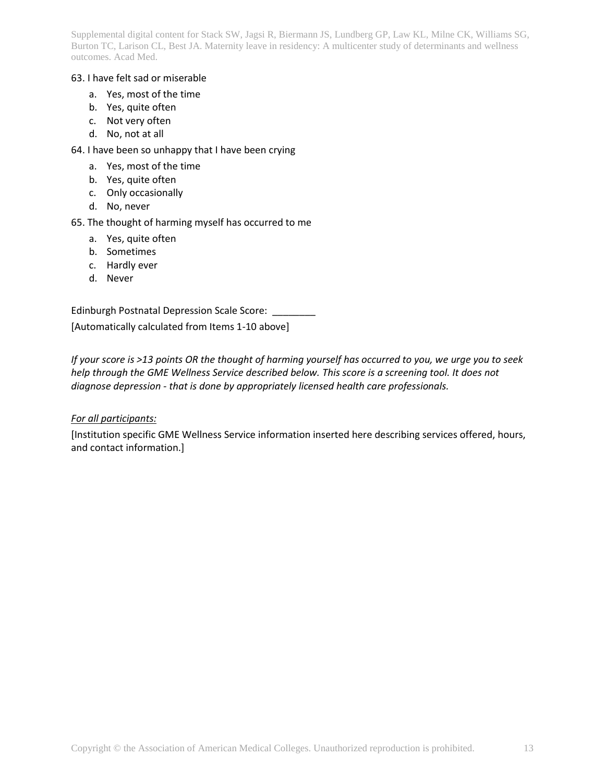#### 63. I have felt sad or miserable

- a. Yes, most of the time
- b. Yes, quite often
- c. Not very often
- d. No, not at all
- 64. I have been so unhappy that I have been crying
	- a. Yes, most of the time
	- b. Yes, quite often
	- c. Only occasionally
	- d. No, never
- 65. The thought of harming myself has occurred to me
	- a. Yes, quite often
	- b. Sometimes
	- c. Hardly ever
	- d. Never

Edinburgh Postnatal Depression Scale Score: \_\_\_\_\_\_\_\_

[Automatically calculated from Items 1-10 above]

*If your score is >13 points OR the thought of harming yourself has occurred to you, we urge you to seek help through the GME Wellness Service described below. This score is a screening tool. It does not diagnose depression - that is done by appropriately licensed health care professionals.*

# *For all participants:*

[Institution specific GME Wellness Service information inserted here describing services offered, hours, and contact information.]